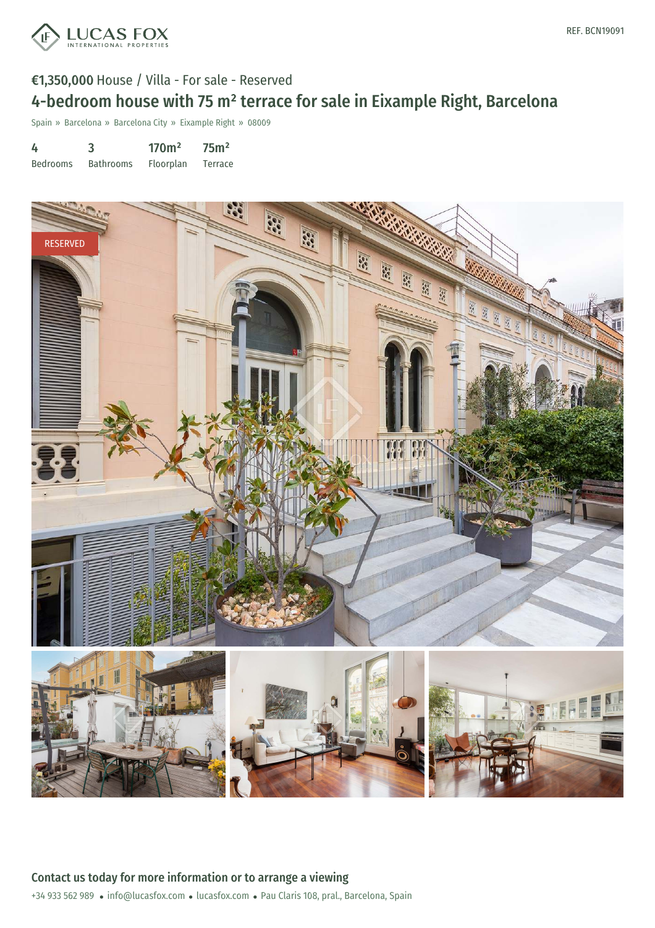

## €1,350,000 House / Villa - For sale - Reserved 4-bedroom house with 75 m² terrace for sale in Eixample Right, Barcelona

Spain » Barcelona » Barcelona City » Eixample Right » 08009

| 4               | 3                | 170 <sup>m²</sup> | 75 <sup>m²</sup> |
|-----------------|------------------|-------------------|------------------|
| <b>Bedrooms</b> | <b>Bathrooms</b> | Floorplan         | Terrace          |

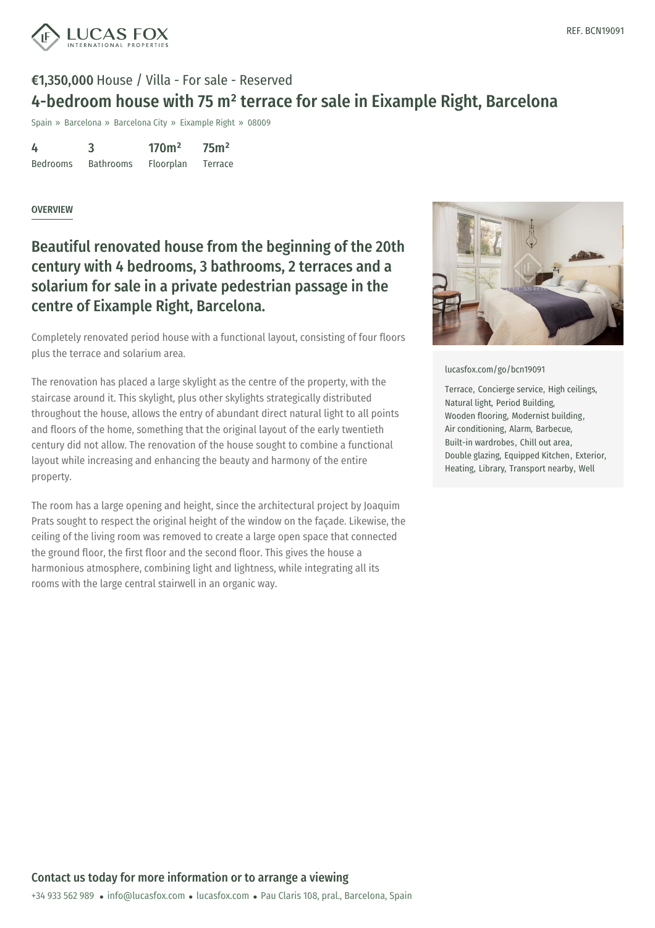

## €1,350,000 House / Villa - For sale - Reserved 4-bedroom house with 75 m² terrace for sale in Eixample Right, Barcelona

Spain » Barcelona » Barcelona City » Eixample Right » 08009

| 4               | 3                | 170 <sup>m²</sup> | 75 <sup>m²</sup> |
|-----------------|------------------|-------------------|------------------|
| <b>Bedrooms</b> | <b>Bathrooms</b> | Floorplan         | Terrace          |

## **OVERVIEW**

Beautiful renovated house from the beginning of the 20th century with 4 bedrooms, 3 bathrooms, 2 terraces and a solarium for sale in a private pedestrian passage in the centre of Eixample Right, Barcelona.

Completely renovated period house with a functional layout, consisting of four floors plus the terrace and solarium area.

The renovation has placed a large skylight as the centre of the property, with the staircase around it. This skylight, plus other skylights strategically distributed throughout the house, allows the entry of abundant direct natural light to all points and floors of the home, something that the original layout of the early twentieth century did not allow. The renovation of the house sought to combine a functional layout while increasing and enhancing the beauty and harmony of the entire property.

The room has a large opening and height, since the architectural project by Joaquim Prats sought to respect the original height of the window on the façade. Likewise, the ceiling of the living room was removed to create a large open space that connected the ground floor, the first floor and the second floor. This gives the house a harmonious atmosphere, combining light and lightness, while integrating all its rooms with the large central stairwell in an organic way.



[lucasfox.com/go/bcn19091](https://www.lucasfox.com/go/bcn19091)

Terrace, Concierge service, High ceilings, Natural light, Period Building, Wooden flooring, Modernist building, Air conditioning, Alarm, Barbecue, Built-in wardrobes, Chill out area, Double glazing, Equipped Kitchen, Exterior, Heating, Library, Transport nearby, Well